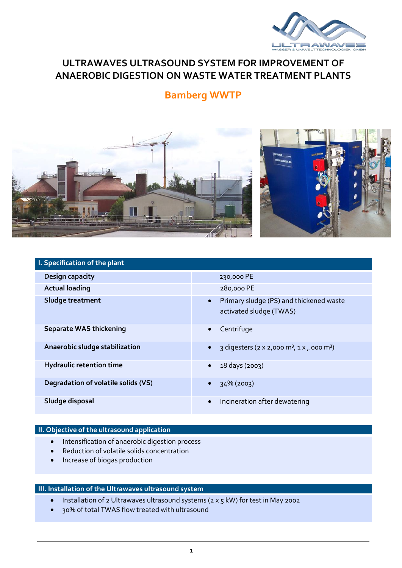

## **ULTRAWAVES ULTRASOUND SYSTEM FOR IMPROVEMENT OF ANAEROBIC DIGESTION ON WASTE WATER TREATMENT PLANTS**

# **Bamberg WWTP**



| I. Specification of the plant       |                                                                                 |
|-------------------------------------|---------------------------------------------------------------------------------|
| <b>Design capacity</b>              | 230,000 PE                                                                      |
| <b>Actual loading</b>               | 280,000 PE                                                                      |
| Sludge treatment                    | Primary sludge (PS) and thickened waste<br>$\bullet$<br>activated sludge (TWAS) |
| <b>Separate WAS thickening</b>      | Centrifuge<br>$\bullet$                                                         |
| Anaerobic sludge stabilization      | 3 digesters (2 x 2,000 m <sup>3</sup> , 1 x ,.000 m <sup>3</sup> )<br>$\bullet$ |
| <b>Hydraulic retention time</b>     | 18 days (2003)<br>$\bullet$                                                     |
| Degradation of volatile solids (VS) | 34% (2003)<br>$\bullet$                                                         |
| Sludge disposal                     | Incineration after dewatering                                                   |

### **II. Objective of the ultrasound application**

- **•** Intensification of anaerobic digestion process
- Reduction of volatile solids concentration
- Increase of biogas production

#### **III. Installation of the Ultrawaves ultrasound system**

- Installation of 2 Ultrawaves ultrasound systems (2 x 5 kW) for test in May 2002
- 30% of total TWAS flow treated with ultrasound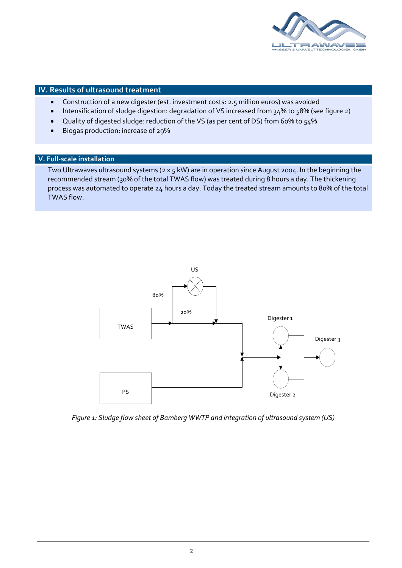

#### **IV. Results of ultrasound treatment**

- Construction of a new digester (est. investment costs: 2.5 million euros) was avoided
- Intensification of sludge digestion: degradation of VS increased from 34% to 58% (see figure 2)
- Quality of digested sludge: reduction of the VS (as per cent of DS) from 60% to 54%
- Biogas production: increase of 29%

#### **V. Full-scale installation**

Two Ultrawaves ultrasound systems (2 x 5 kW) are in operation since August 2004. In the beginning the recommended stream (30% of the total TWAS flow) was treated during 8 hours a day. The thickening process was automated to operate 24 hours a day. Today the treated stream amounts to 80% of the total TWAS flow.



*Figure 1: Sludge flow sheet of Bamberg WWTP and integration of ultrasound system (US)*